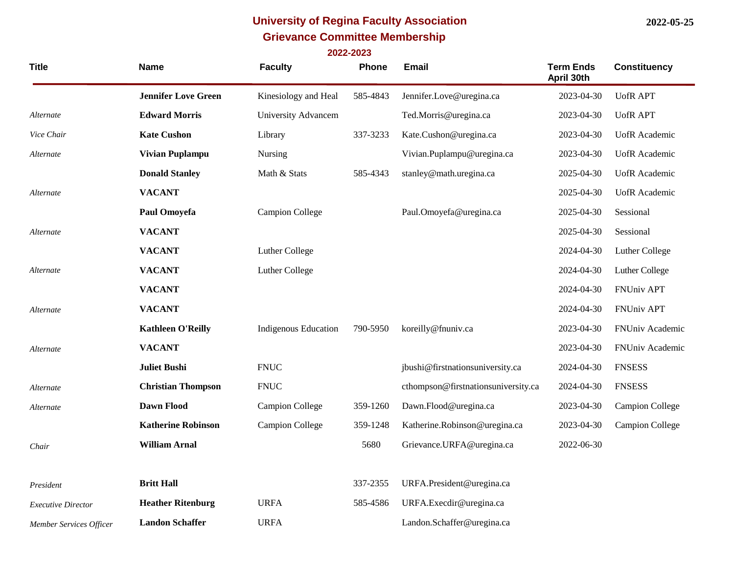## **University of Regina Faculty Association 2022-05-25 Grievance Committee Membership 2022-2023**

| <b>Title</b> | <b>Name</b>                | <b>Faculty</b>              | Phone    | Email                               | <b>Term Ends</b><br>April 30th | <b>Constituency</b>    |
|--------------|----------------------------|-----------------------------|----------|-------------------------------------|--------------------------------|------------------------|
|              | <b>Jennifer Love Green</b> | Kinesiology and Heal        | 585-4843 | Jennifer.Love@uregina.ca            | 2023-04-30                     | <b>UofRAPT</b>         |
| Alternate    | <b>Edward Morris</b>       | University Advancem         |          | Ted.Morris@uregina.ca               | 2023-04-30                     | <b>UofRAPT</b>         |
| Vice Chair   | <b>Kate Cushon</b>         | Library                     | 337-3233 | Kate.Cushon@uregina.ca              | 2023-04-30                     | <b>UofR</b> Academic   |
| Alternate    | Vivian Puplampu            | Nursing                     |          | Vivian.Puplampu@uregina.ca          | 2023-04-30                     | <b>UofR</b> Academic   |
|              | <b>Donald Stanley</b>      | Math & Stats                | 585-4343 | stanley@math.uregina.ca             | 2025-04-30                     | <b>UofR</b> Academic   |
| Alternate    | <b>VACANT</b>              |                             |          |                                     | 2025-04-30                     | <b>UofR</b> Academic   |
|              | Paul Omoyefa               | <b>Campion College</b>      |          | Paul.Omoyefa@uregina.ca             | 2025-04-30                     | Sessional              |
| Alternate    | <b>VACANT</b>              |                             |          |                                     | 2025-04-30                     | Sessional              |
|              | <b>VACANT</b>              | Luther College              |          |                                     | 2024-04-30                     | Luther College         |
| Alternate    | <b>VACANT</b>              | Luther College              |          |                                     | 2024-04-30                     | Luther College         |
|              | <b>VACANT</b>              |                             |          |                                     | 2024-04-30                     | FNUniv APT             |
| Alternate    | <b>VACANT</b>              |                             |          |                                     | 2024-04-30                     | FNUniv APT             |
|              | <b>Kathleen O'Reilly</b>   | <b>Indigenous Education</b> | 790-5950 | koreilly@fnuniv.ca                  | 2023-04-30                     | FNUniv Academic        |
| Alternate    | <b>VACANT</b>              |                             |          |                                     | 2023-04-30                     | FNUniv Academic        |
|              | <b>Juliet Bushi</b>        | <b>FNUC</b>                 |          | jbushi@firstnationsuniversity.ca    | 2024-04-30                     | <b>FNSESS</b>          |
| Alternate    | <b>Christian Thompson</b>  | <b>FNUC</b>                 |          | cthompson@firstnationsuniversity.ca | 2024-04-30                     | <b>FNSESS</b>          |
| Alternate    | Dawn Flood                 | <b>Campion College</b>      | 359-1260 | Dawn.Flood@uregina.ca               | 2023-04-30                     | <b>Campion College</b> |
|              | <b>Katherine Robinson</b>  | <b>Campion College</b>      | 359-1248 | Katherine.Robinson@uregina.ca       | 2023-04-30                     | <b>Campion College</b> |
| Chair        | <b>William Arnal</b>       |                             | 5680     | Grievance.URFA@uregina.ca           | 2022-06-30                     |                        |
| President    | <b>Britt Hall</b>          |                             | 337-2355 | URFA.President@uregina.ca           |                                |                        |

*Executive Director Member Services Officer* **Heather Ritenburg** URFA 585-4586 URFA.Execdir@uregina.ca Landon Schaffer<br>
URFA Landon.Schaffer@uregina.ca